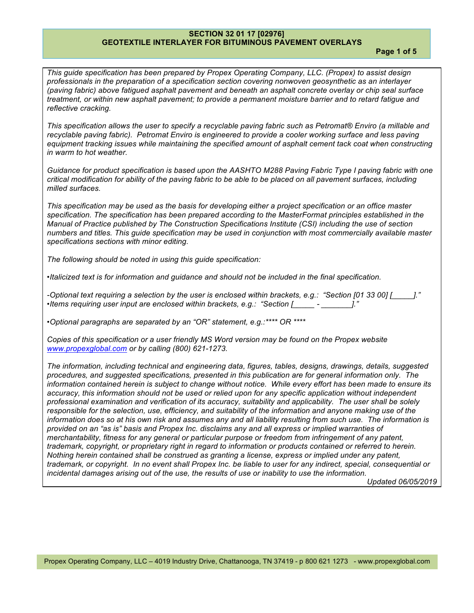**Page 1 of 5**

*This guide specification has been prepared by Propex Operating Company, LLC. (Propex) to assist design professionals in the preparation of a specification section covering nonwoven geosynthetic as an interlayer (paving fabric) above fatigued asphalt pavement and beneath an asphalt concrete overlay or chip seal surface treatment, or within new asphalt pavement; to provide a permanent moisture barrier and to retard fatigue and reflective cracking.*

*This specification allows the user to specify a recyclable paving fabric such as Petromat® Enviro (a millable and recyclable paving fabric). Petromat Enviro is engineered to provide a cooler working surface and less paving*  equipment tracking issues while maintaining the specified amount of asphalt cement tack coat when constructing *in warm to hot weather.*

*Guidance for product specification is based upon the AASHTO M288 Paving Fabric Type I paving fabric with one critical modification for ability of the paving fabric to be able to be placed on all pavement surfaces, including milled surfaces.*

*This specification may be used as the basis for developing either a project specification or an office master specification. The specification has been prepared according to the MasterFormat principles established in the Manual of Practice published by The Construction Specifications Institute (CSI) including the use of section numbers and titles. This guide specification may be used in conjunction with most commercially available master specifications sections with minor editing.*

*The following should be noted in using this guide specification:*

*•Italicized text is for information and guidance and should not be included in the final specification.*

*-Optional text requiring a selection by the user is enclosed within brackets, e.g.: "Section [01 33 00] [\_\_\_\_\_]." •Items requiring user input are enclosed within brackets, e.g.: "Section [\_\_\_\_\_ - \_\_\_\_\_\_\_]."*

*•Optional paragraphs are separated by an "OR" statement, e.g.:\*\*\*\* OR \*\*\*\**

*Copies of this specification or a user friendly MS Word version may be found on the Propex website www.propexglobal.com or by calling (800) 621-1273.*

*The information, including technical and engineering data, figures, tables, designs, drawings, details, suggested procedures, and suggested specifications, presented in this publication are for general information only. The information contained herein is subject to change without notice. While every effort has been made to ensure its accuracy, this information should not be used or relied upon for any specific application without independent professional examination and verification of its accuracy, suitability and applicability. The user shall be solely responsible for the selection, use, efficiency, and suitability of the information and anyone making use of the information does so at his own risk and assumes any and all liability resulting from such use. The information is provided on an "as is" basis and Propex Inc. disclaims any and all express or implied warranties of merchantability, fitness for any general or particular purpose or freedom from infringement of any patent, trademark, copyright, or proprietary right in regard to information or products contained or referred to herein. Nothing herein contained shall be construed as granting a license, express or implied under any patent, trademark, or copyright. In no event shall Propex Inc. be liable to user for any indirect, special, consequential or incidental damages arising out of the use, the results of use or inability to use the information.*

*Updated 06/05/2019*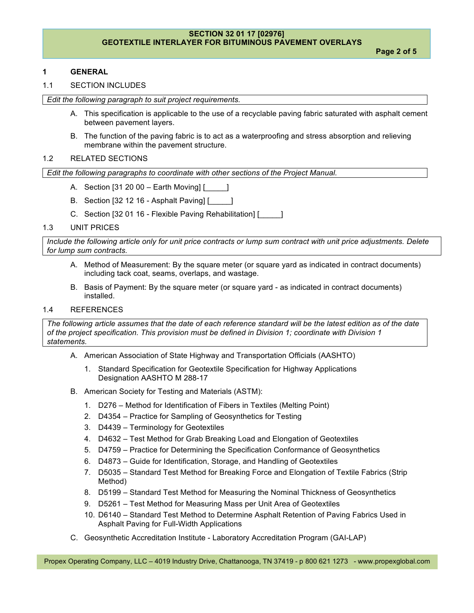**Page 2 of 5**

## **1 GENERAL**

### 1.1 SECTION INCLUDES

*Edit the following paragraph to suit project requirements.*

- A. This specification is applicable to the use of a recyclable paving fabric saturated with asphalt cement between pavement layers.
- B. The function of the paving fabric is to act as a waterproofing and stress absorption and relieving membrane within the pavement structure.

## 1.2 RELATED SECTIONS

*Edit the following paragraphs to coordinate with other sections of the Project Manual.*

- A. Section [31 20 00 Earth Moving] [\_\_\_\_\_]
- B. Section [32 12 16 Asphalt Paving] [\_\_\_\_\_]
- C. Section [32 01 16 Flexible Paving Rehabilitation] [\_\_\_\_\_]

#### 1.3 UNIT PRICES

*Include the following article only for unit price contracts or lump sum contract with unit price adjustments. Delete for lump sum contracts.*

- A. Method of Measurement: By the square meter (or square yard as indicated in contract documents) including tack coat, seams, overlaps, and wastage.
- B. Basis of Payment: By the square meter (or square yard as indicated in contract documents) installed.

### 1.4 REFERENCES

*The following article assumes that the date of each reference standard will be the latest edition as of the date of the project specification. This provision must be defined in Division 1; coordinate with Division 1 statements.*

- A. American Association of State Highway and Transportation Officials (AASHTO)
	- 1. Standard Specification for Geotextile Specification for Highway Applications Designation AASHTO M 288-17
- B. American Society for Testing and Materials (ASTM):
	- 1. D276 Method for Identification of Fibers in Textiles (Melting Point)
	- 2. D4354 Practice for Sampling of Geosynthetics for Testing
	- 3. D4439 Terminology for Geotextiles
	- 4. D4632 Test Method for Grab Breaking Load and Elongation of Geotextiles
	- 5. D4759 Practice for Determining the Specification Conformance of Geosynthetics
	- 6. D4873 Guide for Identification, Storage, and Handling of Geotextiles
	- 7. D5035 Standard Test Method for Breaking Force and Elongation of Textile Fabrics (Strip Method)
	- 8. D5199 Standard Test Method for Measuring the Nominal Thickness of Geosynthetics
	- 9. D5261 Test Method for Measuring Mass per Unit Area of Geotextiles
	- 10. D6140 Standard Test Method to Determine Asphalt Retention of Paving Fabrics Used in Asphalt Paving for Full-Width Applications
- C. Geosynthetic Accreditation Institute Laboratory Accreditation Program (GAI-LAP)

Propex Operating Company, LLC – 4019 Industry Drive, Chattanooga, TN 37419 - p 800 621 1273 - www.propexglobal.com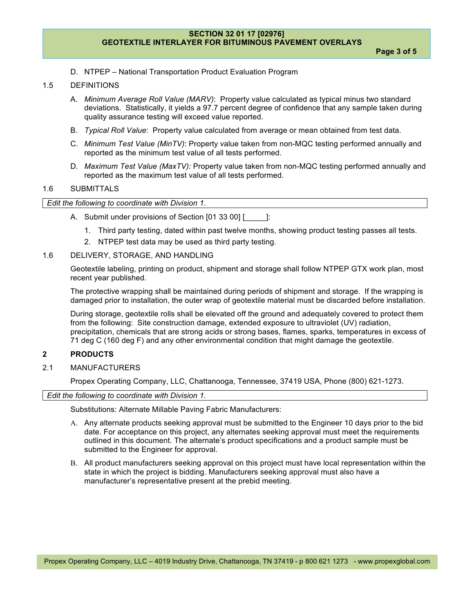D. NTPEP – National Transportation Product Evaluation Program

### 1.5 DEFINITIONS

- A. *Minimum Average Roll Value (MARV)*: Property value calculated as typical minus two standard deviations. Statistically, it yields a 97.7 percent degree of confidence that any sample taken during quality assurance testing will exceed value reported.
- B. *Typical Roll Value*: Property value calculated from average or mean obtained from test data.
- C. *Minimum Test Value (MinTV)*: Property value taken from non-MQC testing performed annually and reported as the minimum test value of all tests performed.
- D. *Maximum Test Value (MaxTV):* Property value taken from non-MQC testing performed annually and reported as the maximum test value of all tests performed.

#### 1.6 SUBMITTALS

| Edit the following to coordinate with Division 1. |
|---------------------------------------------------|
|---------------------------------------------------|

- A. Submit under provisions of Section [01 33 00] [\_\_\_\_\_]:
	- 1. Third party testing, dated within past twelve months, showing product testing passes all tests.
	- 2. NTPEP test data may be used as third party testing.

#### 1.6 DELIVERY, STORAGE, AND HANDLING

Geotextile labeling, printing on product, shipment and storage shall follow NTPEP GTX work plan, most recent year published.

The protective wrapping shall be maintained during periods of shipment and storage. If the wrapping is damaged prior to installation, the outer wrap of geotextile material must be discarded before installation.

During storage, geotextile rolls shall be elevated off the ground and adequately covered to protect them from the following: Site construction damage, extended exposure to ultraviolet (UV) radiation, precipitation, chemicals that are strong acids or strong bases, flames, sparks, temperatures in excess of 71 deg C (160 deg F) and any other environmental condition that might damage the geotextile.

### **2 PRODUCTS**

2.1 MANUFACTURERS

Propex Operating Company, LLC, Chattanooga, Tennessee, 37419 USA, Phone (800) 621-1273.

*Edit the following to coordinate with Division 1.*

Substitutions: Alternate Millable Paving Fabric Manufacturers:

- A. Any alternate products seeking approval must be submitted to the Engineer 10 days prior to the bid date. For acceptance on this project, any alternates seeking approval must meet the requirements outlined in this document. The alternate's product specifications and a product sample must be submitted to the Engineer for approval.
- B. All product manufacturers seeking approval on this project must have local representation within the state in which the project is bidding. Manufacturers seeking approval must also have a manufacturer's representative present at the prebid meeting.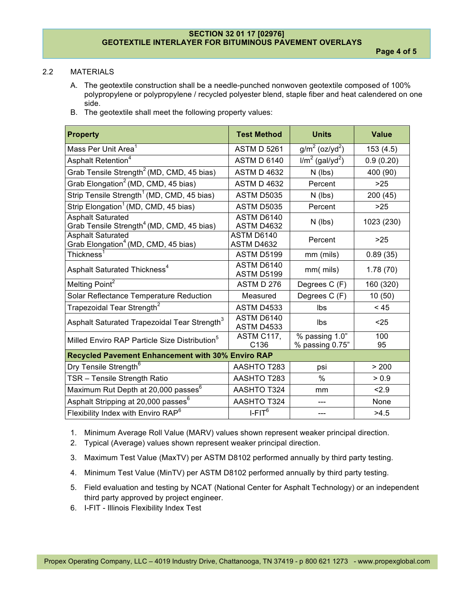# 2.2 MATERIALS

- A. The geotextile construction shall be a needle-punched nonwoven geotextile composed of 100% polypropylene or polypropylene / recycled polyester blend, staple fiber and heat calendered on one side.
- B. The geotextile shall meet the following property values:

| <b>Property</b>                                                                   | <b>Test Method</b>              | <b>Units</b>                      | <b>Value</b> |  |
|-----------------------------------------------------------------------------------|---------------------------------|-----------------------------------|--------------|--|
| Mass Per Unit Area <sup>1</sup>                                                   | <b>ASTM D 5261</b>              | $g/m^2$ (oz/yd <sup>2</sup> )     | 153(4.5)     |  |
| Asphalt Retention <sup>4</sup>                                                    | <b>ASTM D 6140</b>              | $I/m2$ (gal/yd <sup>2</sup> )     | 0.9(0.20)    |  |
| Grab Tensile Strength <sup>2</sup> (MD, CMD, 45 bias)                             | <b>ASTM D 4632</b>              | $N$ (lbs)                         | 400 (90)     |  |
| Grab Elongation <sup>2</sup> (MD, CMD, 45 bias)                                   | <b>ASTM D 4632</b>              | Percent                           | $>25$        |  |
| Strip Tensile Strength <sup>1</sup> (MD, CMD, 45 bias)                            | <b>ASTM D5035</b>               | $N$ (lbs)                         | 200 (45)     |  |
| Strip Elongation <sup>1</sup> (MD, CMD, 45 bias)                                  | <b>ASTM D5035</b>               | Percent                           | >25          |  |
| <b>Asphalt Saturated</b><br>Grab Tensile Strength <sup>4</sup> (MD, CMD, 45 bias) | ASTM D6140<br><b>ASTM D4632</b> | $N$ (lbs)                         | 1023 (230)   |  |
| Asphalt Saturated<br>Grab Elongation <sup>4</sup> (MD, CMD, 45 bias)              | ASTM D6140<br>ASTM D4632        | Percent                           | $>25$        |  |
| Thickness $^{\rm 1}$                                                              | <b>ASTM D5199</b>               | mm (mils)                         | 0.89(35)     |  |
| Asphalt Saturated Thickness <sup>4</sup>                                          | ASTM D6140<br><b>ASTM D5199</b> | mm(mils)                          | 1.78(70)     |  |
| Melting Point <sup>2</sup>                                                        | <b>ASTM D 276</b>               | Degrees C (F)                     | 160 (320)    |  |
| Solar Reflectance Temperature Reduction                                           | Measured                        | Degrees C (F)                     | 10(50)       |  |
| Trapezoidal Tear Strength <sup>2</sup>                                            | <b>ASTM D4533</b>               | Ibs                               | < 45         |  |
| Asphalt Saturated Trapezoidal Tear Strength <sup>3</sup>                          | ASTM D6140<br>ASTM D4533        | Ibs                               | $25$         |  |
| Milled Enviro RAP Particle Size Distribution <sup>5</sup>                         | ASTM C117,<br>C136              | % passing 1.0"<br>% passing 0.75" | 100<br>95    |  |
| Recycled Pavement Enhancement with 30% Enviro RAP                                 |                                 |                                   |              |  |
| Dry Tensile Strength <sup>6</sup>                                                 | AASHTO T283                     | psi                               | > 200        |  |
| TSR - Tensile Strength Ratio                                                      | AASHTO T283                     | $\%$                              | > 0.9        |  |
| Maximum Rut Depth at 20,000 passes <sup>6</sup>                                   | <b>AASHTO T324</b>              | mm                                | 2.9          |  |
| Asphalt Stripping at 20,000 passes <sup>6</sup>                                   | <b>AASHTO T324</b>              |                                   | None         |  |
| Flexibility Index with Enviro RAP <sup>6</sup>                                    | $I$ -FIT $6$                    | ---                               | >4.5         |  |

- 1. Minimum Average Roll Value (MARV) values shown represent weaker principal direction.
- 2. Typical (Average) values shown represent weaker principal direction.
- 3. Maximum Test Value (MaxTV) per ASTM D8102 performed annually by third party testing.
- 4. Minimum Test Value (MinTV) per ASTM D8102 performed annually by third party testing.
- 5. Field evaluation and testing by NCAT (National Center for Asphalt Technology) or an independent third party approved by project engineer.
- 6. I-FIT Illinois Flexibility Index Test